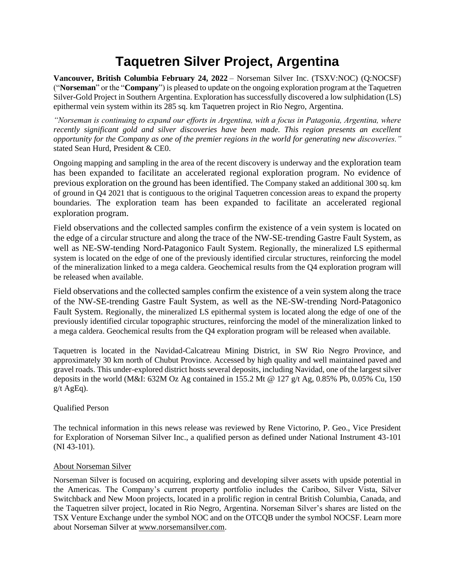# **Taquetren Silver Project, Argentina**

**Vancouver, British Columbia February 24, 2022** – Norseman Silver Inc. (TSXV:NOC) (Q:NOCSF) ("**Norseman**" or the "**Company**") is pleased to update on the ongoing exploration program at the Taquetren Silver-Gold Project in Southern Argentina. Exploration has successfully discovered a low sulphidation (LS) epithermal vein system within its 285 sq. km Taquetren project in Rio Negro, Argentina.

*"Norseman is continuing to expand our efforts in Argentina, with a focus in Patagonia, Argentina, where recently significant gold and silver discoveries have been made. This region presents an excellent opportunity for the Company as one of the premier regions in the world for generating new discoveries."* stated Sean Hurd, President & CE0.

Ongoing mapping and sampling in the area of the recent discovery is underway and the exploration team has been expanded to facilitate an accelerated regional exploration program. No evidence of previous exploration on the ground has been identified. The Company staked an additional 300 sq. km of ground in Q4 2021 that is contiguous to the original Taquetren concession areas to expand the property boundaries. The exploration team has been expanded to facilitate an accelerated regional exploration program.

Field observations and the collected samples confirm the existence of a vein system is located on the edge of a circular structure and along the trace of the NW-SE-trending Gastre Fault System, as well as NE-SW-tending Nord-Patagonico Fault System. Regionally, the mineralized LS epithermal system is located on the edge of one of the previously identified circular structures, reinforcing the model of the mineralization linked to a mega caldera. Geochemical results from the Q4 exploration program will be released when available.

Field observations and the collected samples confirm the existence of a vein system along the trace of the NW-SE-trending Gastre Fault System, as well as the NE-SW-trending Nord-Patagonico Fault System. Regionally, the mineralized LS epithermal system is located along the edge of one of the previously identified circular topographic structures, reinforcing the model of the mineralization linked to a mega caldera. Geochemical results from the Q4 exploration program will be released when available.

Taquetren is located in the Navidad-Calcatreau Mining District, in SW Rio Negro Province, and approximately 30 km north of Chubut Province. Accessed by high quality and well maintained paved and gravel roads. This under-explored district hosts several deposits, including Navidad, one of the largest silver deposits in the world (M&I: 632M Oz Ag contained in 155.2 Mt @ 127 g/t Ag, 0.85% Pb, 0.05% Cu, 150  $g/t$  AgEq).

## Qualified Person

The technical information in this news release was reviewed by Rene Victorino, P. Geo., Vice President for Exploration of Norseman Silver Inc., a qualified person as defined under National Instrument 43-101 (NI 43-101).

### About Norseman Silver

Norseman Silver is focused on acquiring, exploring and developing silver assets with upside potential in the Americas. The Company's current property portfolio includes the Cariboo, Silver Vista, Silver Switchback and New Moon projects, located in a prolific region in central British Columbia, Canada, and the Taquetren silver project, located in Rio Negro, Argentina. Norseman Silver's shares are listed on the TSX Venture Exchange under the symbol NOC and on the OTCQB under the symbol NOCSF. Learn more about Norseman Silver at [www.norsemansilver.com.](http://www.norsemansilver.com/)